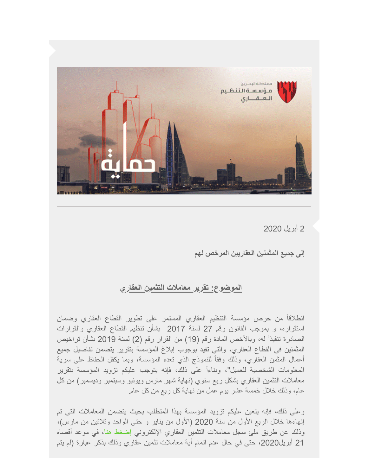

2 أبریل 2020

**إلى جمیع المثمنین العقاریین المرخص لھم** 

## **الموضوع: تقریر معاملات التثمین العقاري**

انطلاقاً من حرص مؤسسة التنظیم العقاري المستمر على تطویر القطاع العقاري وضمان استقراره، و بموجب القانون رقم 27 لسنة 2017 بشأن تنظیم القطاع العقاري والقرارات الصادرة تنفیذاً لھ، وبالأخص المادة رقم (19) من القرار رقم (2) لسنة 2019 بشأن تراخیص المثمنین في القطاع العقاري، والتي تفید بوجوب إبلاغ المؤسسة بتقریر یتضمن تفاصیل جمیع أعمال المثمن العقاري، وذلك وفقاً للنموذج الذي تعده المؤسسة، وبما یكفل الحفاظ على سریة المعلومات الشخصیة للعمیل"، وبناءاً على ذلك، فإنھ یتوجب علیكم تزوید المؤسسة بتقریر معاملات التثمین العقاري بشكل ربع سنوي (نھایة شھر مارس ویونیو وسبتمبر ودیسمبر) من كل عام، وذلك خلال خمسة عشر یوم عمل من نھایة كل ربع من كل عام.

وعلى ذلك، فإنھ یتعین علیكم تزوید المؤسسة بھذا المتطلب بحیث یتضمن المعاملات التي تم إنھاءھا خلال الربع الأول من سنة 2020 (الأول من ینایر و حتى الواحد وثلاثین من مارس)، وذلك عن طریق ملئ سجل معاملات التثمین العقاري الإلكترون[ي](https://rera.us18.list-manage.com/track/click?u=19ee4dd5d83746dcf3a98ff0f&id=f8800e7387&e=6652aa188d&utm_source=Mailing+List+30-07-2019&utm_campaign=3fc413ae6b-CAMPAIGN_GULF+PROPERTY_SHOW_COPY_01&utm_medium=email&utm_term=0_ad04eb0035-3fc413ae6b-%5BLIST_EMAIL_ID%5D&ct=t%28CAMPAIGN_GULF+PROPERTY_SHOW_COPY_01%29) [إضغط ھنا](https://airtable.com/shrtkYRhdBMehWFj3?utm_source=Mailing+List+30-07-2019&utm_campaign=3fc413ae6b-CAMPAIGN_GULF+PROPERTY_SHOW_COPY_01&utm_medium=email&utm_term=0_ad04eb0035-3fc413ae6b-%5BLIST_EMAIL_ID%5D&ct=t%28CAMPAIGN_GULF+PROPERTY_SHOW_COPY_01%29)، في موعد أقصاه 21 أبریل2020، حتى في حال عدم اتمام أية معاملات تثمين عقاري وذلك بذكر عبارة (لم يتم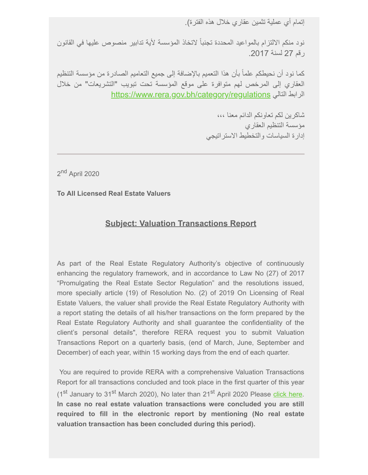إتمام أي عملیة تثمین عقاري خلال ھذه الفترة).

نود منكم الالتزام بالمواعید المحددة تجنباً لاتخاذ المؤسسة لأیة تدابیر منصوص علیھا في القانون رقم 27 لسنة .2017

كما نود أن نحیطكم علماً بأن ھذا التعمیم بالإضافة إلى جمیع التعامیم الصادرة من مؤسسة التنظیم العقاري إلى المرخص لھم متوافرة على موقع المؤسسة تحت تبویب "التشریعات" من خلال [https://www.rera.gov.bh/category/regulations](https://rera.us18.list-manage.com/track/click?u=19ee4dd5d83746dcf3a98ff0f&id=2e7baa69c9&e=0131bf06be&utm_source=Mailing+List+30-07-2019&utm_campaign=3fc413ae6b-CAMPAIGN_GULF+PROPERTY_SHOW_COPY_01&utm_medium=email&utm_term=0_ad04eb0035-3fc413ae6b-%5BLIST_EMAIL_ID%5D&ct=t%28CAMPAIGN_GULF+PROPERTY_SHOW_COPY_01%29) التالي الرابط

> شاكرین لكم تعاونكم الدائم معنا ،،، مؤسسة التنظیم العقاري إدارة السیاسات والتخطیط الاستراتیجي

2<sup>nd</sup> April 2020

**To All Licensed Real Estate Valuers**

## **Subject: Valuation Transactions Report**

As part of the Real Estate Regulatory Authority's objective of continuously enhancing the regulatory framework, and in accordance to Law No (27) of 2017 "Promulgating the Real Estate Sector Regulation" and the resolutions issued, more specially article (19) of Resolution No. (2) of 2019 On Licensing of Real Estate Valuers, the valuer shall provide the Real Estate Regulatory Authority with a report stating the details of all his/her transactions on the form prepared by the Real Estate Regulatory Authority and shall guarantee the confidentiality of the client's personal details", therefore RERA request you to submit Valuation Transactions Report on a quarterly basis, (end of March, June, September and December) of each year, within 15 working days from the end of each quarter.

 You are required to provide RERA with a comprehensive Valuation Transactions Report for all transactions concluded and took place in the first quarter of this year (1<sup>st</sup> January to 31<sup>st</sup> March 2020), No later than 21<sup>st</sup> April 2020 Please [click here](https://airtable.com/shrtkYRhdBMehWFj3). **In case no real estate valuation transactions were concluded you are still required to fill in the electronic report by mentioning (No real estate valuation transaction has been concluded during this period).**